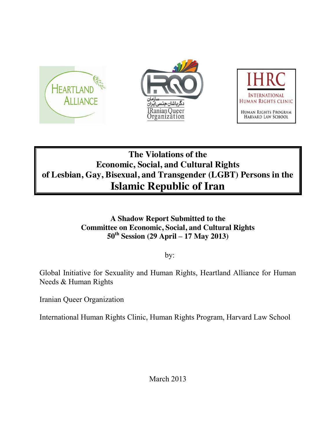

# **The Violations of the Economic, Social, and Cultural Rights of Lesbian, Gay, Bisexual, and Transgender (LGBT) Persons in the Islamic Republic of Iran**

## **A Shadow Report Submitted to the Committee on Economic, Social, and Cultural Rights 50th Session (29 April – 17 May 2013)**

by:

Global Initiative for Sexuality and Human Rights, Heartland Alliance for Human Needs & Human Rights

Iranian Queer Organization

International Human Rights Clinic, Human Rights Program, Harvard Law School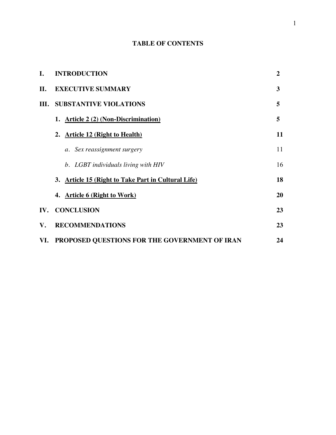### **TABLE OF CONTENTS**

| I.   | <b>INTRODUCTION</b>                                 | $\overline{2}$ |
|------|-----------------------------------------------------|----------------|
| П.   | <b>EXECUTIVE SUMMARY</b>                            | 3              |
| III. | <b>SUBSTANTIVE VIOLATIONS</b>                       | 5              |
|      | 1. Article 2 (2) (Non-Discrimination)               | 5              |
|      | 2. Article 12 (Right to Health)                     | 11             |
|      | a. Sex reassignment surgery                         | 11             |
|      | b. LGBT individuals living with HIV                 | 16             |
|      | 3. Article 15 (Right to Take Part in Cultural Life) | 18             |
|      | 4. Article 6 (Right to Work)                        | 20             |
|      | IV. CONCLUSION                                      | 23             |
| V.   | <b>RECOMMENDATIONS</b>                              | 23             |
|      | VI. PROPOSED QUESTIONS FOR THE GOVERNMENT OF IRAN   | 24             |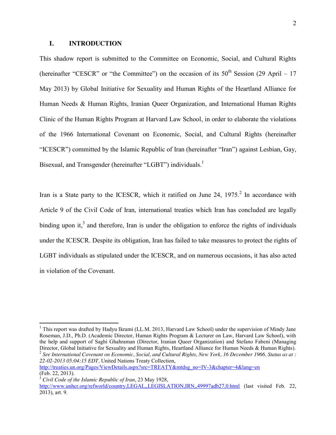#### **I. INTRODUCTION**

This shadow report is submitted to the Committee on Economic, Social, and Cultural Rights (hereinafter "CESCR" or "the Committee") on the occasion of its  $50<sup>th</sup>$  Session (29 April – 17 May 2013) by Global Initiative for Sexuality and Human Rights of the Heartland Alliance for Human Needs & Human Rights, Iranian Queer Organization, and International Human Rights Clinic of the Human Rights Program at Harvard Law School, in order to elaborate the violations of the 1966 International Covenant on Economic, Social, and Cultural Rights (hereinafter "ICESCR") committed by the Islamic Republic of Iran (hereinafter "Iran") against Lesbian, Gay, Bisexual, and Transgender (hereinafter "LGBT") individuals.<sup>1</sup>

Iran is a State party to the ICESCR, which it ratified on June 24,  $1975<sup>2</sup>$  In accordance with Article 9 of the Civil Code of Iran, international treaties which Iran has concluded are legally binding upon it,<sup>3</sup> and therefore, Iran is under the obligation to enforce the rights of individuals under the ICESCR. Despite its obligation, Iran has failed to take measures to protect the rights of LGBT individuals as stipulated under the ICESCR, and on numerous occasions, it has also acted in violation of the Covenant.

[http://treaties.un.org/Pages/ViewDetails.aspx?src=TREATY&mtdsg\\_no=IV-3&chapter=4&lang=en](http://treaties.un.org/Pages/ViewDetails.aspx?src=TREATY&mtdsg_no=IV-3&chapter=4&lang=en) (Feb. 22, 2013).

<sup>&</sup>lt;sup>1</sup> This report was drafted by Hadyu Ikrami (LL.M. 2013, Harvard Law School) under the supervision of Mindy Jane Roseman, J.D., Ph.D. (Academic Director, Human Rights Program & Lecturer on Law, Harvard Law School), with the help and support of Saghi Ghahraman (Director, Iranian Queer Organization) and Stefano Fabeni (Managing Director, Global Initiative for Sexuality and Human Rights, Heartland Alliance for Human Needs & Human Rights).<br><sup>2</sup> See International Covenant on Economic, Social, and Cultural Rights, New York, 16 December 1966, Status as *22-02-2013 05:04:15 EDT,* United Nations Treaty Collection,

<sup>3</sup> *Civil Code of the Islamic Republic of Iran*, 23 May 1928, <http://www.unhcr.org/refworld/country,LEGAL,,LEGISLATION,IRN,,49997adb27,0.html> (last visited Feb. 22, 2013), art. 9.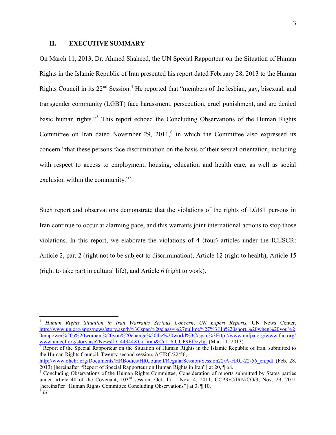#### **II. EXECUTIVE SUMMARY**

On March 11, 2013, Dr. Ahmed Shaheed, the UN Special Rapporteur on the Situation of Human Rights in the Islamic Republic of Iran presented his report dated February 28, 2013 to the Human Rights Council in its  $22<sup>nd</sup>$  Session.<sup>4</sup> He reported that "members of the lesbian, gay, bisexual, and transgender community (LGBT) face harassment, persecution, cruel punishment, and are denied basic human rights."<sup>5</sup> This report echoed the Concluding Observations of the Human Rights Committee on Iran dated November 29,  $2011<sup>6</sup>$  in which the Committee also expressed its concern "that these persons face discrimination on the basis of their sexual orientation, including with respect to access to employment, housing, education and health care, as well as social exclusion within the community."<sup>7</sup>

Such report and observations demonstrate that the violations of the rights of LGBT persons in Iran continue to occur at alarming pace, and this warrants joint international actions to stop those violations. In this report, we elaborate the violations of 4 (four) articles under the ICESCR: Article 2, par. 2 (right not to be subject to discrimination), Article 12 (right to health), Article 15 (right to take part in cultural life), and Article 6 (right to work).

<sup>4</sup> *Human Rights Situation in Iran Warrants Serious Concern, UN Expert Reports*, UN News Center, [http://www.un.org/apps/news/story.asp/h%3Cspan%20class=%27pullme%27%3EIn%20short,%20when%20you%2](http://www.un.org/apps/news/story.asp/h%3Cspan%20class=%27pullme%27%3EIn%20short,%20when%20you%20empower%20a%20woman,%20you%20change%20the%20world%3C/span%3Ettp:/www.unfpa.org/www.fao.org/www.unicef.org/story.asp?NewsID=44344&Cr=iran&Cr1=#.UUF9EDeyIg-) [0empower%20a%20woman,%20you%20change%20the%20world%3C/span%3Ettp://www.unfpa.org/www.fao.org/](http://www.un.org/apps/news/story.asp/h%3Cspan%20class=%27pullme%27%3EIn%20short,%20when%20you%20empower%20a%20woman,%20you%20change%20the%20world%3C/span%3Ettp:/www.unfpa.org/www.fao.org/www.unicef.org/story.asp?NewsID=44344&Cr=iran&Cr1=#.UUF9EDeyIg-)<br>www.unicef.org/story.asp?NewsID=44344&Cr=iran&Cr1=#.UUF9EDeyIg- (Mar. 11, 2013).

 $\frac{1}{5}$  Report of the Special Rapporteur on the Situation of Human Rights in the Islamic Republic of Iran, submitted to the Human Rights Council, Twenty-second session, A/HRC/22/56,

[http://www.ohchr.org/Documents/HRBodies/HRCouncil/RegularSession/Session22/A-HRC-22-56\\_en.pdf](http://www.ohchr.org/Documents/HRBodies/HRCouncil/RegularSession/Session22/A-HRC-22-56_en.pdf) (Feb. 28, 2013) [hereinafter "Report of Special Rapporteur on Human Rights in Iran"] at 20, 168.

<sup>&</sup>lt;sup>6</sup> Concluding Observations of the Human Rights Committee, Consideration of reports submitted by States parties under article 40 of the Covenant,  $103^{rd}$  session, Oct. 17 – Nov. 4, 2011, CCPR/C/IRN/CO/3, Nov. 29, 2011 [hereinafter "Human Rights Committee Concluding Observations"] at 3, ¶ 10. <sup>7</sup> *Id.*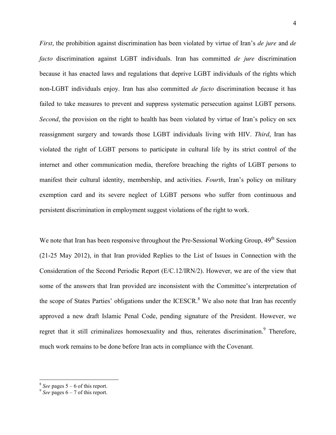*First*, the prohibition against discrimination has been violated by virtue of Iran's *de jure* and *de facto* discrimination against LGBT individuals. Iran has committed *de jure* discrimination because it has enacted laws and regulations that deprive LGBT individuals of the rights which non-LGBT individuals enjoy. Iran has also committed *de facto* discrimination because it has failed to take measures to prevent and suppress systematic persecution against LGBT persons. *Second*, the provision on the right to health has been violated by virtue of Iran's policy on sex reassignment surgery and towards those LGBT individuals living with HIV. *Third*, Iran has violated the right of LGBT persons to participate in cultural life by its strict control of the internet and other communication media, therefore breaching the rights of LGBT persons to manifest their cultural identity, membership, and activities. *Fourth*, Iran's policy on military exemption card and its severe neglect of LGBT persons who suffer from continuous and persistent discrimination in employment suggest violations of the right to work.

We note that Iran has been responsive throughout the Pre-Sessional Working Group,  $49<sup>th</sup>$  Session (21-25 May 2012), in that Iran provided Replies to the List of Issues in Connection with the Consideration of the Second Periodic Report (E/C.12/IRN/2). However, we are of the view that some of the answers that Iran provided are inconsistent with the Committee's interpretation of the scope of States Parties' obligations under the ICESCR.<sup>8</sup> We also note that Iran has recently approved a new draft Islamic Penal Code, pending signature of the President. However, we regret that it still criminalizes homosexuality and thus, reiterates discrimination.<sup>9</sup> Therefore, much work remains to be done before Iran acts in compliance with the Covenant.

 $\frac{8}{9}$  *See* pages 5 – 6 of this report.<br> $\frac{9}{9}$  *See* pages 6 – 7 of this report.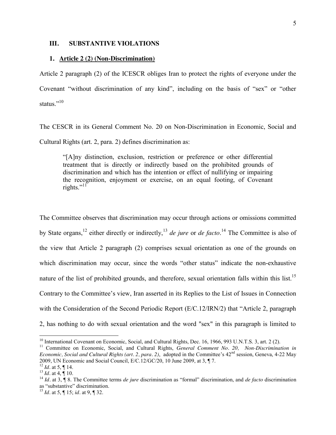#### **III. SUBSTANTIVE VIOLATIONS**

#### **1. Article 2 (2) (Non-Discrimination)**

Article 2 paragraph (2) of the ICESCR obliges Iran to protect the rights of everyone under the Covenant "without discrimination of any kind", including on the basis of "sex" or "other status."<sup>10</sup>

The CESCR in its General Comment No. 20 on Non-Discrimination in Economic, Social and Cultural Rights (art. 2, para. 2) defines discrimination as:

"[A]ny distinction, exclusion, restriction or preference or other differential treatment that is directly or indirectly based on the prohibited grounds of discrimination and which has the intention or effect of nullifying or impairing the recognition, enjoyment or exercise, on an equal footing, of Covenant rights." $^{11}$ 

The Committee observes that discrimination may occur through actions or omissions committed by State organs,<sup>12</sup> either directly or indirectly,<sup>13</sup> *de jure* or *de facto*.<sup>14</sup> The Committee is also of the view that Article 2 paragraph (2) comprises sexual orientation as one of the grounds on which discrimination may occur, since the words "other status" indicate the non-exhaustive nature of the list of prohibited grounds, and therefore, sexual orientation falls within this list.<sup>15</sup> Contrary to the Committee's view, Iran asserted in its Replies to the List of Issues in Connection with the Consideration of the Second Periodic Report (E/C.12/IRN/2) that "Article 2, paragraph 2, has nothing to do with sexual orientation and the word "sex" in this paragraph is limited to

<sup>&</sup>lt;sup>10</sup> International Covenant on Economic, Social, and Cultural Rights, Dec. 16, 1966, 993 U.N.T.S. 3, art. 2 (2).<br><sup>11</sup> Committee on Economic, Social, and Cultural Rights, *General Comment No. 20, Non-Discrimination in* 

*Economic, Social and Cultural Rights (art. 2, para. 2)*, adopted in the Committee's  $42<sup>nd</sup>$  session, Geneva, 4-22 May 2009, UN Economic and Social Council, E/C.12/GC/20, 10 June 2009, at 3, ¶ 7.

<sup>&</sup>lt;sup>12</sup> *Id.* at 5,  $\P$  14.<br><sup>13</sup> *Id.* at 4,  $\P$  10.<br><sup>14</sup> *Id.* at 3,  $\P$  8. The Committee terms *de jure* discrimination as "formal" discrimination, and *de facto* discrimination as "substantive" discrimination.

<sup>15</sup> *Id.* at 5, ¶ 15; *id.* at 9, ¶ 32.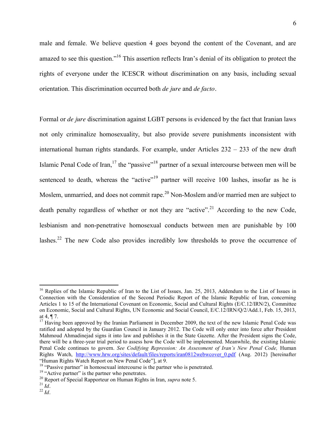male and female. We believe question 4 goes beyond the content of the Covenant, and are amazed to see this question."<sup>16</sup> This assertion reflects Iran's denial of its obligation to protect the rights of everyone under the ICESCR without discrimination on any basis, including sexual orientation. This discrimination occurred both *de jure* and *de facto.*

Formal or *de jure* discrimination against LGBT persons is evidenced by the fact that Iranian laws not only criminalize homosexuality, but also provide severe punishments inconsistent with international human rights standards. For example, under Articles 232 – 233 of the new draft Islamic Penal Code of Iran,  $17$  the "passive"<sup>18</sup> partner of a sexual intercourse between men will be sentenced to death, whereas the "active"<sup>19</sup> partner will receive 100 lashes, insofar as he is Moslem, unmarried, and does not commit rape.<sup>20</sup> Non-Moslem and/or married men are subject to death penalty regardless of whether or not they are "active".<sup>21</sup> According to the new Code, lesbianism and non-penetrative homosexual conducts between men are punishable by 100 lashes.<sup>22</sup> The new Code also provides incredibly low thresholds to prove the occurrence of

<sup>&</sup>lt;sup>16</sup> Replies of the Islamic Republic of Iran to the List of Issues, Jan. 25, 2013, Addendum to the List of Issues in Connection with the Consideration of the Second Periodic Report of the Islamic Republic of Iran, concerning Articles 1 to 15 of the International Covenant on Economic, Social and Cultural Rights (E/C.12/IRN/2), Committee on Economic, Social and Cultural Rights, UN Economic and Social Council, E/C.12/IRN/Q/2/Add.1, Feb. 15, 2013, at 4, ¶ 7.

 $17$  Having been approved by the Iranian Parliament in December 2009, the text of the new Islamic Penal Code was ratified and adopted by the Guardian Council in January 2012. The Code will only enter into force after President Mahmoud Ahmadinejad signs it into law and publishes it in the State Gazette. After the President signs the Code, there will be a three-year trial period to assess how the Code will be implemented. Meanwhile, the existing Islamic Penal Code continues to govern. *See Codifying Repression: An Assessment of Iran's New Penal Code*, Human Rights Watch, [http://www.hrw.org/sites/default/files/reports/iran0812webwcover\\_0.pdf](http://www.hrw.org/sites/default/files/reports/iran0812webwcover_0.pdf) (Aug. 2012) [hereinafter "Human Rights Watch Report on New Penal Code"], at 9.

<sup>&</sup>lt;sup>18</sup> "Passive partner" in homosexual intercourse is the partner who is penetrated.<br><sup>19</sup> "Active partner" is the partner who penetrates.<br><sup>20</sup> Report of Special Rapporteur on Human Rights in Iran, *supra* note 5.<br><sup>21</sup> Id.<br><sup></sup>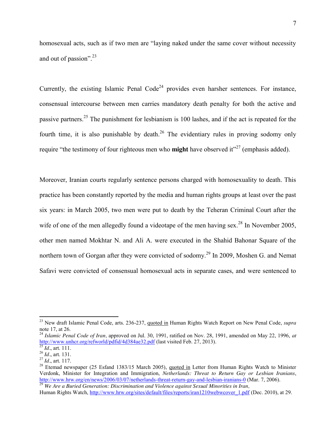homosexual acts, such as if two men are "laying naked under the same cover without necessity and out of passion".<sup>23</sup>

Currently, the existing Islamic Penal Code<sup>24</sup> provides even harsher sentences. For instance, consensual intercourse between men carries mandatory death penalty for both the active and passive partners.<sup>25</sup> The punishment for lesbianism is 100 lashes, and if the act is repeated for the fourth time, it is also punishable by death.<sup>26</sup> The evidentiary rules in proving sodomy only require "the testimony of four righteous men who **might** have observed it"<sup>27</sup> (emphasis added).

Moreover, Iranian courts regularly sentence persons charged with homosexuality to death. This practice has been constantly reported by the media and human rights groups at least over the past six years: in March 2005, two men were put to death by the Teheran Criminal Court after the wife of one of the men allegedly found a videotape of the men having sex.<sup>28</sup> In November 2005, other men named Mokhtar N. and Ali A. were executed in the Shahid Bahonar Square of the northern town of Gorgan after they were convicted of sodomy.<sup>29</sup> In 2009, Moshen G. and Nemat Safavi were convicted of consensual homosexual acts in separate cases, and were sentenced to

<sup>23</sup> New draft Islamic Penal Code, arts. 236-237, quoted in Human Rights Watch Report on New Penal Code, *supra*  note 17, at 26.

<sup>24</sup> *Islamic Penal Code of Iran,* approved on Jul. 30, 1991, ratified on Nov. 28, 1991, amended on May 22, 1996, *at*  http://www.unher.org/refworld/pdfid/4d384ae32.pdf (last visited Feb. 27, 2013).<br>
<sup>25</sup> *Id.*, art. 111.<br>
<sup>26</sup> *Id.*, art. 131.<br>
<sup>27</sup> *Id.*, art. 117.<br>
<sup>27</sup> *Id.*, art. 117.<br>
<sup>28</sup> Etemad newspaper (25 Esfand 1383/15 March 2

Verdonk, Minister for Integration and Immigration, *Netherlands: Threat to Return Gay or Lesbian Iranians*, <http://www.hrw.org/en/news/2006/03/07/netherlands-threat-return-gay-and-lesbian-iranians-0> (Mar. 7, 2006). <sup>29</sup> *We Are a Buried Generation: Discrimination and Violence against Sexual Minorities in Iran,*

Human Rights Watch, [http://www.hrw.org/sites/default/files/reports/iran1210webwcover\\_1.pdf](http://www.hrw.org/sites/default/files/reports/iran1210webwcover_1.pdf) (Dec. 2010), at 29.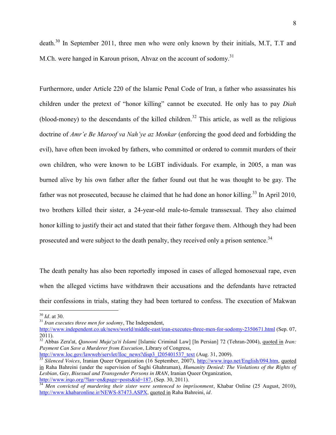death.<sup>30</sup> In September 2011, three men who were only known by their initials, M.T, T.T and M.Ch. were hanged in Karoun prison, Ahvaz on the account of sodomy.<sup>31</sup>

Furthermore, under Article 220 of the Islamic Penal Code of Iran, a father who assassinates his children under the pretext of "honor killing" cannot be executed. He only has to pay *Diah*  (blood-money) to the descendants of the killed children.<sup>32</sup> This article, as well as the religious doctrine of *Amr'e Be Maroof va Nah'ye az Monkar* (enforcing the good deed and forbidding the evil), have often been invoked by fathers, who committed or ordered to commit murders of their own children, who were known to be LGBT individuals. For example, in 2005, a man was burned alive by his own father after the father found out that he was thought to be gay. The father was not prosecuted, because he claimed that he had done an honor killing.<sup>33</sup> In April 2010, two brothers killed their sister, a 24-year-old male-to-female transsexual. They also claimed honor killing to justify their act and stated that their father forgave them. Although they had been prosecuted and were subject to the death penalty, they received only a prison sentence.<sup>34</sup>

The death penalty has also been reportedly imposed in cases of alleged homosexual rape, even when the alleged victims have withdrawn their accusations and the defendants have retracted their confessions in trials, stating they had been tortured to confess. The execution of Makwan

<sup>&</sup>lt;sup>30</sup> *Id.* at 30. 31 *Iran executes three men for sodomy*, The Independent,

<http://www.independent.co.uk/news/world/middle-east/iran-executes-three-men-for-sodomy-2350671.html> (Sep. 07, 2011).

<sup>32</sup> Abbas Zera'at, *Qanooni Muja'za'ti Islami* [Islamic Criminal Law] [In Persian] 72 (Tehran-2004), quoted in *Iran: Payment Can Save a Murderer from Execution, Library of Congress,*<br>http://www.loc.gov/lawweb/servlet/lloc\_news?disp3\_1205401537\_text (Aug. 31, 2009).

<sup>&</sup>lt;sup>33</sup> Silenced Voices, Iranian Queer Organization (16 September, 2007), [http://www.irqo.net/English/094.htm,](http://www.irqo.net/English/094.htm) quoted in Raha Bahreini (under the supervision of Saghi Ghahraman), *Humanity Denied: The Violations of the Rights of Lesbian, Gay, Bisexual and Transgender Persons in IRAN*, Iranian Queer Organization,

[http://www.irqo.org/?lan=en&page=posts&id=187,](http://www.irqo.org/?lan=en&page=posts&id=187) (Sep. 30, 2011). <sup>34</sup> *Men convicted of murdering their sister were sentenced to imprisonment*, Khabar Online (25 August, 2010), [http://www.khabaronline.ir/NEWS-87473.ASPX,](http://www.khabaronline.ir/NEWS-87473.ASPX) quoted in Raha Bahreini, *id.*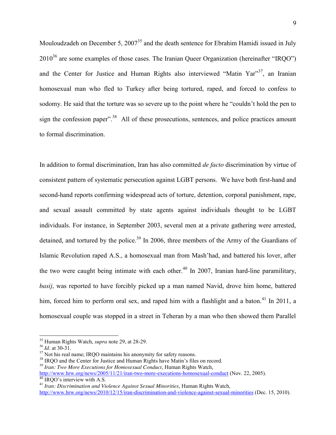Mouloudzadeh on December 5, 2007<sup>35</sup> and the death sentence for Ebrahim Hamidi issued in July  $2010^{36}$  are some examples of those cases. The Iranian Queer Organization (hereinafter "IRQO") and the Center for Justice and Human Rights also interviewed "Matin Yar"<sup>37</sup>, an Iranian homosexual man who fled to Turkey after being tortured, raped, and forced to confess to sodomy. He said that the torture was so severe up to the point where he "couldn't hold the pen to sign the confession paper".<sup>38</sup> All of these prosecutions, sentences, and police practices amount to formal discrimination.

In addition to formal discrimination, Iran has also committed *de facto* discrimination by virtue of consistent pattern of systematic persecution against LGBT persons. We have both first-hand and second-hand reports confirming widespread acts of torture, detention, corporal punishment, rape, and sexual assault committed by state agents against individuals thought to be LGBT individuals. For instance, in September 2003, several men at a private gathering were arrested, detained, and tortured by the police.<sup>39</sup> In 2006, three members of the Army of the Guardians of Islamic Revolution raped A.S., a homosexual man from Mash'had, and battered his lover, after the two were caught being intimate with each other.<sup>40</sup> In 2007, Iranian hard-line paramilitary, *basij,* was reported to have forcibly picked up a man named Navid, drove him home, battered him, forced him to perform oral sex, and raped him with a flashlight and a baton.<sup>41</sup> In 2011, a homosexual couple was stopped in a street in Teheran by a man who then showed them Parallel

<sup>&</sup>lt;sup>35</sup> Human Rights Watch, *supra* note 29, at 28-29.<br><sup>36</sup> *Id.* at 30-31.<br><sup>37</sup> Not his real name; IRQO maintains his anonymity for safety reasons.<br><sup>38</sup> IRQO and the Center for Justice and Human Rights have Matin's files on

<sup>&</sup>lt;sup>[40](http://www.hrw.org/news/2005/11/21/iran-two-more-executions-homosexual-conduct)</sup> IRQO's interview with A.S.<br><sup>41</sup> *[Iran: Discrimination and Violence Against Sexual Minorities](http://www.hrw.org/news/2010/12/15/iran-discrimination-and-violence-against-sexual-minorities)*, Human Rights Watch,

<http://www.hrw.org/news/2010/12/15/iran-discrimination-and-violence-against-sexual-minorities> (Dec. 15, 2010).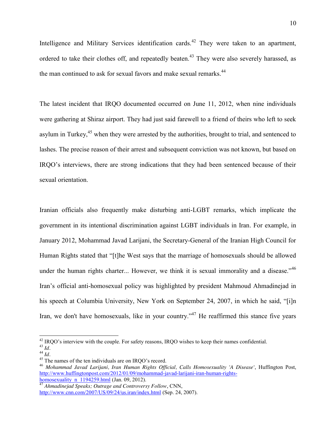Intelligence and Military Services identification cards.<sup>42</sup> They were taken to an apartment, ordered to take their clothes off, and repeatedly beaten.<sup>43</sup> They were also severely harassed, as the man continued to ask for sexual favors and make sexual remarks.<sup>44</sup>

The latest incident that IRQO documented occurred on June 11, 2012, when nine individuals were gathering at Shiraz airport. They had just said farewell to a friend of theirs who left to seek asylum in Turkey,<sup>45</sup> when they were arrested by the authorities, brought to trial, and sentenced to lashes. The precise reason of their arrest and subsequent conviction was not known, but based on IRQO's interviews, there are strong indications that they had been sentenced because of their sexual orientation.

Iranian officials also frequently make disturbing anti-LGBT remarks, which implicate the government in its intentional discrimination against LGBT individuals in Iran. For example, in January 2012, Mohammad Javad Larijani, the Secretary-General of the Iranian High Council for Human Rights stated that "[t]he West says that the marriage of homosexuals should be allowed under the human rights charter... However, we think it is sexual immorality and a disease."<sup>46</sup> Iran's official anti-homosexual policy was highlighted by president Mahmoud Ahmadinejad in his speech at Columbia University, New York on September 24, 2007, in which he said, "[i]n Iran, we don't have homosexuals, like in your country."<sup>47</sup> He reaffirmed this stance five years

<sup>&</sup>lt;sup>42</sup> IRQO's interview with the couple. For safety reasons, IRQO wishes to keep their names confidential.<br><sup>43</sup> *Id.*<br><sup>44</sup> *Id.*<br><sup>45</sup> The names of the ten individuals are on IRQO's record.<br><sup>46</sup> *Mohammad Javad Larijani, Ira* 

[http://www.huffingtonpost.com/2012/01/09/mohammad-javad-larijani-iran-human-rights-](http://www.huffingtonpost.com/2012/01/09/mohammad-javad-larijani-iran-human-rights-homosexuality_n_1194259.html)

homosexuality\_n\_1194259.html (Jan. 09, 2012). [47](http://www.huffingtonpost.com/2012/01/09/mohammad-javad-larijani-iran-human-rights-homosexuality_n_1194259.html) *Ahmadinejad Speaks; Outrage and Controversy Follow*, CNN, <http://www.cnn.com/2007/US/09/24/us.iran/index.html> (Sep. 24, 2007).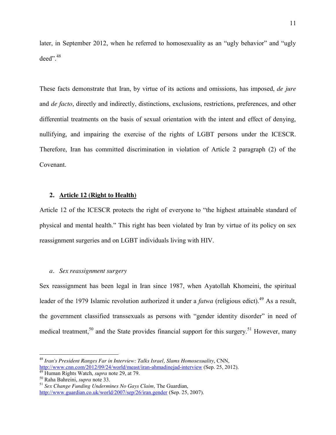later, in September 2012, when he referred to homosexuality as an "ugly behavior" and "ugly deed".<sup>48</sup>

These facts demonstrate that Iran, by virtue of its actions and omissions, has imposed, *de jure*  and *de facto*, directly and indirectly, distinctions, exclusions, restrictions, preferences, and other differential treatments on the basis of sexual orientation with the intent and effect of denying, nullifying, and impairing the exercise of the rights of LGBT persons under the ICESCR. Therefore, Iran has committed discrimination in violation of Article 2 paragraph (2) of the Covenant.

#### **2. Article 12 (Right to Health)**

Article 12 of the ICESCR protects the right of everyone to "the highest attainable standard of physical and mental health." This right has been violated by Iran by virtue of its policy on sex reassignment surgeries and on LGBT individuals living with HIV.

#### *a. Sex reassignment surgery*

Sex reassignment has been legal in Iran since 1987, when Ayatollah Khomeini, the spiritual leader of the 1979 Islamic revolution authorized it under a *fatwa* (religious edict).<sup>49</sup> As a result, the government classified transsexuals as persons with "gender identity disorder" in need of medical treatment,<sup>50</sup> and the State provides financial support for this surgery.<sup>51</sup> However, many

<sup>&</sup>lt;sup>48</sup> *Iran's President Ranges Far in Interview: Talks Israel, Slams Homosexuality, CNN,*<br>http://www.cnn.com/2012/09/24/world/meast/iran-ahmadinejad-interview (Sep. 25, 2012).

<sup>&</sup>lt;sup>49</sup> Human Rights Watch, *supra* note 29, at 79.<br><sup>50</sup> Raha Bahreini, *supra* note 33.<br><sup>51</sup> Sex Change Funding Undermines No Gays Claim. The Guardian. <http://www.guardian.co.uk/world/2007/sep/26/iran.gender> (Sep. 25, 2007).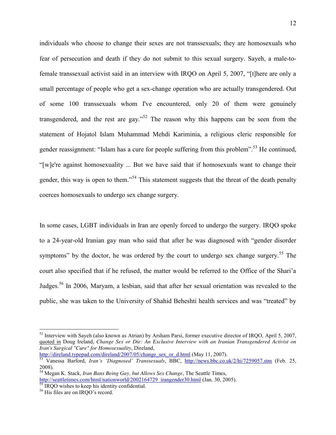individuals who choose to change their sexes are not transsexuals; they are homosexuals who fear of persecution and death if they do not submit to this sexual surgery. Sayeh, a male-tofemale transsexual activist said in an interview with IRQO on April 5, 2007, "[t]here are only a small percentage of people who get a sex-change operation who are actually transgendered. Out of some 100 transsexuals whom I've encountered, only 20 of them were genuinely transgendered, and the rest are gay."<sup>52</sup> The reason why this happens can be seen from the statement of Hojatol Islam Muhammad Mehdi Kariminia, a religious cleric responsible for gender reassignment: "Islam has a cure for people suffering from this problem".<sup>53</sup> He continued, "[w]e're against homosexuality ... But we have said that if homosexuals want to change their gender, this way is open to them."<sup>54</sup> This statement suggests that the threat of the death penalty coerces homosexuals to undergo sex change surgery.

In some cases, LGBT individuals in Iran are openly forced to undergo the surgery. IRQO spoke to a 24-year-old Iranian gay man who said that after he was diagnosed with "gender disorder symptoms" by the doctor, he was ordered by the court to undergo sex change surgery.<sup>55</sup> The court also specified that if he refused, the matter would be referred to the Office of the Shari'a Judges.<sup>56</sup> In 2006, Maryam, a lesbian, said that after her sexual orientation was revealed to the public, she was taken to the University of Shahid Beheshti health services and was "treated" by

[http://direland.typepad.com/direland/2007/05/change\\_sex\\_or\\_d.html](http://direland.typepad.com/direland/2007/05/change_sex_or_d.html) (May 11, 2007). <sup>53</sup> Vanessa Barford, *Iran's 'Diagnosed' Transsexuals*, BBC, <http://news.bbc.co.uk/2/hi/7259057.stm> (Feb. 25,

 $52$  Interview with Sayeh (also known as Atrian) by Arsham Parsi, former executive director of IRQO, April 5, 2007, quoted in Doug Ireland, *Change Sex or Die: An Exclusive Interview with an Iranian Transgendered Activist on Iran's Surgical "Cure" for Homosexuality*, Direland,

<sup>2008).</sup> <sup>54</sup> Megan K. Stack, *Iran Bans Being Gay, but Allows Sex Change*, The Seattle Times, [http://seattletimes.com/html/nationworld/2002164729\\_irangender30.html](http://seattletimes.com/html/nationworld/2002164729_irangender30.html) (Jan. 30, 2005).<br><sup>55</sup> IRQO wishes to keep his identity confidential.<br><sup>56</sup> His files are on IRQO's record.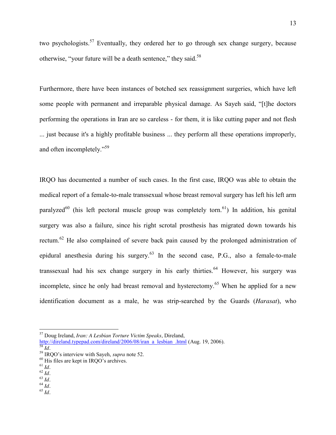two psychologists.<sup>57</sup> Eventually, they ordered her to go through sex change surgery, because otherwise, "your future will be a death sentence," they said.<sup>58</sup>

Furthermore, there have been instances of botched sex reassignment surgeries, which have left some people with permanent and irreparable physical damage. As Sayeh said, "[t]he doctors performing the operations in Iran are so careless - for them, it is like cutting paper and not flesh ... just because it's a highly profitable business ... they perform all these operations improperly, and often incompletely."<sup>59</sup>

IRQO has documented a number of such cases. In the first case, IRQO was able to obtain the medical report of a female-to-male transsexual whose breast removal surgery has left his left arm paralyzed<sup>60</sup> (his left pectoral muscle group was completely torn.<sup>61</sup>) In addition, his genital surgery was also a failure, since his right scrotal prosthesis has migrated down towards his rectum.<sup>62</sup> He also complained of severe back pain caused by the prolonged administration of epidural anesthesia during his surgery.<sup>63</sup> In the second case, P.G., also a female-to-male transsexual had his sex change surgery in his early thirties.<sup>64</sup> However, his surgery was incomplete, since he only had breast removal and hysterectomy.<sup>65</sup> When he applied for a new identification document as a male, he was strip-searched by the Guards (*Harasat*), who

<sup>57</sup> Doug Ireland, *Iran: A Lesbian Torture Victim Speaks*, Direland,

http://direland.typepad.com/direland/2006/08/iran\_a\_lesbian\_html (Aug. 19, 2006).<br>
<sup>58</sup> Id.<br>
<sup>59</sup> IRQO's interview with Sayeh, *supra* note 52.<br>
<sup>60</sup> His files are kept in IRQO's archives.<br>
<sup>61</sup> Id.<br>
<sup>62</sup> Id.<br>
<sup>63</sup> Id.<br>
<sup></sup>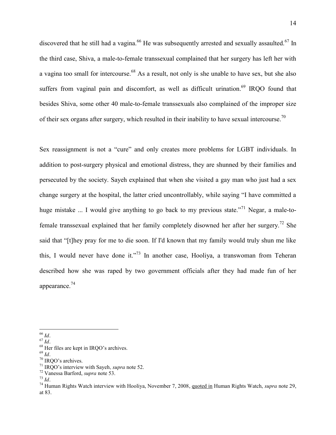discovered that he still had a vagina.<sup>66</sup> He was subsequently arrested and sexually assaulted.<sup>67</sup> In the third case, Shiva, a male-to-female transsexual complained that her surgery has left her with a vagina too small for intercourse.<sup>68</sup> As a result, not only is she unable to have sex, but she also suffers from vaginal pain and discomfort, as well as difficult urination.<sup>69</sup> IRQO found that besides Shiva, some other 40 male-to-female transsexuals also complained of the improper size of their sex organs after surgery, which resulted in their inability to have sexual intercourse.<sup>70</sup>

Sex reassignment is not a "cure" and only creates more problems for LGBT individuals. In addition to post-surgery physical and emotional distress, they are shunned by their families and persecuted by the society. Sayeh explained that when she visited a gay man who just had a sex change surgery at the hospital, the latter cried uncontrollably, while saying "I have committed a huge mistake ... I would give anything to go back to my previous state.<sup> $271$ </sup> Negar, a male-tofemale transsexual explained that her family completely disowned her after her surgery.<sup>72</sup> She said that "[t]hey pray for me to die soon. If I'd known that my family would truly shun me like this, I would never have done it."<sup>73</sup> In another case, Hooliya, a transwoman from Teheran described how she was raped by two government officials after they had made fun of her appearance.<sup>74</sup>

<sup>&</sup>lt;sup>66</sup> *Id.*<br>
<sup>67</sup> *Id.*<br>
<sup>68</sup> Her files are kept in IRQO's archives.<br>
<sup>69</sup> *Id.*<br>
<sup>70</sup> IRQO's archives.<br>
<sup>71</sup> IRQO's interview with Sayeh, *supra* note 52.<br>
<sup>72</sup> Vanessa Barford, *supra* note 53.<br>
<sup>73</sup> *Id.*<br>
<sup>74</sup> Human Ri at 83.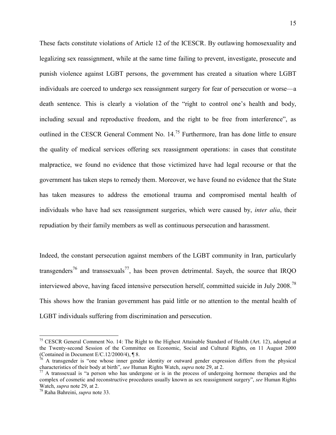These facts constitute violations of Article 12 of the ICESCR. By outlawing homosexuality and legalizing sex reassignment, while at the same time failing to prevent, investigate, prosecute and punish violence against LGBT persons, the government has created a situation where LGBT individuals are coerced to undergo sex reassignment surgery for fear of persecution or worse—a death sentence. This is clearly a violation of the "right to control one's health and body, including sexual and reproductive freedom, and the right to be free from interference", as outlined in the CESCR General Comment No. 14.<sup>75</sup> Furthermore, Iran has done little to ensure the quality of medical services offering sex reassignment operations: in cases that constitute malpractice, we found no evidence that those victimized have had legal recourse or that the government has taken steps to remedy them. Moreover, we have found no evidence that the State has taken measures to address the emotional trauma and compromised mental health of individuals who have had sex reassignment surgeries, which were caused by, *inter alia*, their repudiation by their family members as well as continuous persecution and harassment.

Indeed, the constant persecution against members of the LGBT community in Iran, particularly transgenders<sup>76</sup> and transsexuals<sup>77</sup>, has been proven detrimental. Sayeh, the source that IROO interviewed above, having faced intensive persecution herself, committed suicide in July 2008.<sup>78</sup> This shows how the Iranian government has paid little or no attention to the mental health of LGBT individuals suffering from discrimination and persecution.

<sup>&</sup>lt;sup>75</sup> CESCR General Comment No. 14: The Right to the Highest Attainable Standard of Health (Art. 12), adopted at the Twenty-second Session of the Committee on Economic, Social and Cultural Rights, on 11 August 2000 (Contained in Document E/C.12/2000/4), ¶ 8.

 $\lambda$ <sup>6</sup> A transgender is "one whose inner gender identity or outward gender expression differs from the physical characteristics of their body at birth", *see* Human Rights Watch, *supra* note 29, at 2.<br><sup>77</sup> A transsexual is "a person who has undergone or is in the process of undergoing hormone therapies and the

complex of cosmetic and reconstructive procedures usually known as sex reassignment surgery", *see* Human Rights Watch, *supra* note 29, at 2. <sup>78</sup> Raha Bahreini, *supra* note 33.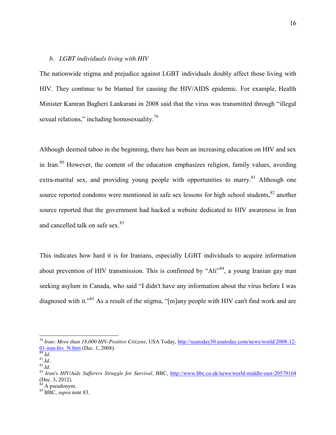#### *b. LGBT individuals living with HIV*

The nationwide stigma and prejudice against LGBT individuals doubly affect those living with HIV. They continue to be blamed for causing the HIV/AIDS epidemic. For example, Health Minister Kamran Bagheri Lankarani in 2008 said that the virus was transmitted through "illegal sexual relations," including homosexuality.<sup>79</sup>

Although deemed taboo in the beginning, there has been an increasing education on HIV and sex in Iran.<sup>80</sup> However, the content of the education emphasizes religion, family values, avoiding extra-marital sex, and providing young people with opportunities to marry.<sup>81</sup> Although one source reported condoms were mentioned in safe sex lessons for high school students, <sup>82</sup> another source reported that the government had hacked a website dedicated to HIV awareness in Iran and cancelled talk on safe sex. $83$ 

This indicates how hard it is for Iranians, especially LGBT individuals to acquire information about prevention of HIV transmission. This is confirmed by "Ali"<sup>84</sup>, a young Iranian gay man seeking asylum in Canada, who said "I didn't have any information about the virus before I was diagnosed with it."<sup>85</sup> As a result of the stigma, "[m]any people with HIV can't find work and are

<sup>&</sup>lt;sup>79</sup> Iran: More than 18,000 HIV-Positive Citizens, USA Today, [http://usatoday30.usatoday.com/news/world/2008-12-](http://usatoday30.usatoday.com/news/world/2008-12-01-iran-hiv_N.htm)<br>01-iran-hiv N.htm (Dec. 1, 2008).

<sup>80</sup> *Id.* 81 *Id.* 82 *Id.* <sup>81</sup> *Id.* 82 *Id.* 82 *Id.* 82 *Id.* 82 *Id.* 82 *Id.* 83 *Iran's HIV/Aids Sufferers Struggle for Survival*, **BBC**, *http://www.bbc.co.uk/news/world-middle-east-20579164* (Dec. 3, 2012).<br><sup>84</sup> A pseudonym.

 $85$  BBC, *supra* note 83.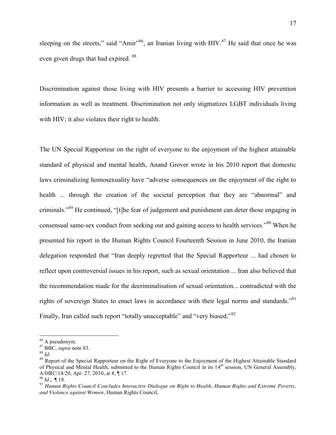sleeping on the streets," said "Amir"<sup>86</sup>, an Iranian living with  $HIV$ .<sup>87</sup> He said that once he was even given drugs that had expired. <sup>88</sup>

Discrimination against those living with HIV presents a barrier to accessing HIV prevention information as well as treatment. Discrimination not only stigmatizes LGBT individuals living with HIV; it also violates their right to health.

The UN Special Rapporteur on the right of everyone to the enjoyment of the highest attainable standard of physical and mental health, Anand Grover wrote in his 2010 report that domestic laws criminalizing homosexuality have "adverse consequences on the enjoyment of the right to health ... through the creation of the societal perception that they are "abnormal" and criminals."<sup>89</sup> He continued, "[t]he fear of judgement and punishment can deter those engaging in consensual same-sex conduct from seeking out and gaining access to health services."<sup>90</sup> When he presented his report in the Human Rights Council Fourteenth Session in June 2010, the Iranian delegation responded that "Iran deeply regretted that the Special Rapporteur ... had chosen to reflect upon controversial issues in his report, such as sexual orientation ... Iran also believed that the recommendation made for the decriminalisation of sexual orientation... contradicted with the rights of sovereign States to enact laws in accordance with their legal norms and standards."<sup>91</sup> Finally, Iran called such report "totally unacceptable" and "very biased."<sup>92</sup>

<sup>&</sup>lt;sup>86</sup> A pseudonym.<br><sup>87</sup> BBC, *supra* note 83.<br><sup>88</sup> *Id.* 89 Report of the Special Rapporteur on the Right of Everyone to the Enjoyment of the Highest Attainable Standard of Physical and Mental Health, submitted to the Human Rights Council in its 14<sup>th</sup> session, UN General Assembly, A/HRC/14/20, Apr. 27, 2010, at 8, ¶ 17.<br><sup>90</sup> Id., ¶ 18.<br><sup>91</sup> Human Rights Council Concludes Interactive Dialogue on Right to Health, Human Rights and Extreme Poverty,

*and Violence against Women,* Human Rights Council,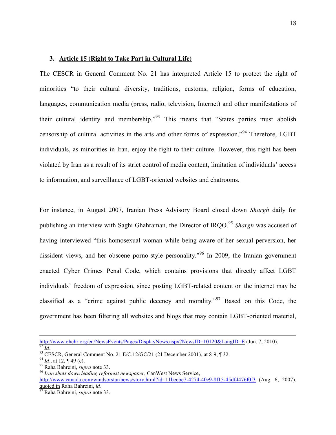#### **3. Article 15 (Right to Take Part in Cultural Life)**

The CESCR in General Comment No. 21 has interpreted Article 15 to protect the right of minorities "to their cultural diversity, traditions, customs, religion, forms of education, languages, communication media (press, radio, television, Internet) and other manifestations of their cultural identity and membership."<sup>93</sup> This means that "States parties must abolish censorship of cultural activities in the arts and other forms of expression."<sup>94</sup> Therefore, LGBT individuals, as minorities in Iran, enjoy the right to their culture. However, this right has been violated by Iran as a result of its strict control of media content, limitation of individuals' access to information, and surveillance of LGBT-oriented websites and chatrooms.

For instance, in August 2007, Iranian Press Advisory Board closed down *Shargh* daily for publishing an interview with Saghi Ghahraman, the Director of IRQO.<sup>95</sup> *Shargh* was accused of having interviewed "this homosexual woman while being aware of her sexual perversion, her dissident views, and her obscene porno-style personality."<sup>96</sup> In 2009, the Iranian government enacted Cyber Crimes Penal Code, which contains provisions that directly affect LGBT individuals' freedom of expression, since posting LGBT-related content on the internet may be classified as a "crime against public decency and morality."<sup>97</sup> Based on this Code, the government has been filtering all websites and blogs that may contain LGBT-oriented material,

http://www.ohchr.org/en/NewsEvents/Pages/DisplayNews.aspx?NewsID=10120&LangID=E (Jun. 7, 2010). <sup>92</sup> *Id.*<br><sup>93</sup> CESCR, General Comment No. 21 E/C.12/GC/21 (21 December 2001), at 8-9, ¶ 32.<br><sup>94</sup> *Id.*, at 12, ¶ 49 (c).<br><sup>95</sup> Raha Bahreini, *supra* note 33.<br><sup>96</sup> *Iran shuts down leading reformist newspaper*, CanWest Ne

<http://www.canada.com/windsorstar/news/story.html?id=11bccbe7-4274-40e9-8f15-45df4476f0f3> (Aug. 6, 2007), quoted in Raha Bahreini, *id.* <sup>97</sup> Raha Bahreini, *supra* note 33.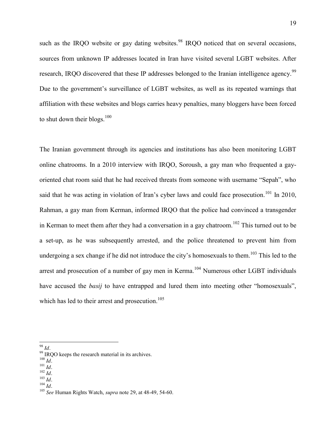such as the IRQO website or gay dating websites.<sup>98</sup> IRQO noticed that on several occasions, sources from unknown IP addresses located in Iran have visited several LGBT websites. After research, IRQO discovered that these IP addresses belonged to the Iranian intelligence agency.<sup>99</sup> Due to the government's surveillance of LGBT websites, as well as its repeated warnings that affiliation with these websites and blogs carries heavy penalties, many bloggers have been forced to shut down their blogs. $100$ 

The Iranian government through its agencies and institutions has also been monitoring LGBT online chatrooms. In a 2010 interview with IRQO, Soroush, a gay man who frequented a gayoriented chat room said that he had received threats from someone with username "Sepah", who said that he was acting in violation of Iran's cyber laws and could face prosecution.<sup>101</sup> In 2010, Rahman, a gay man from Kerman, informed IRQO that the police had convinced a transgender in Kerman to meet them after they had a conversation in a gay chatroom.<sup>102</sup> This turned out to be a set-up, as he was subsequently arrested, and the police threatened to prevent him from undergoing a sex change if he did not introduce the city's homosexuals to them.<sup>103</sup> This led to the arrest and prosecution of a number of gay men in Kerma.<sup>104</sup> Numerous other LGBT individuals have accused the *basij* to have entrapped and lured them into meeting other "homosexuals", which has led to their arrest and prosecution.<sup>105</sup>

- 
- 

<sup>98</sup> *Id.*<br>
99 IRQO keeps the research material in its archives.<br>
<sup>100</sup> *Id.*<br>
<sup>101</sup> *Id.*<br>
<sup>102</sup> *Id.*<br>
<sup>103</sup> *Id.*<br>
<sup>104</sup> *Id.*<br>
<sup>105</sup> *See* Human Rights Watch, *supra* note 29, at 48-49, 54-60.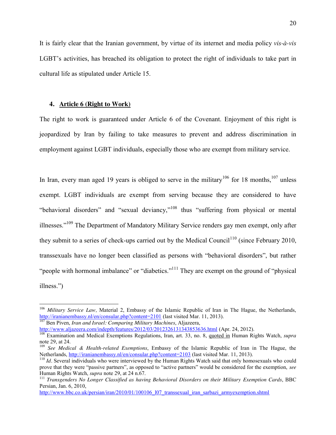It is fairly clear that the Iranian government, by virtue of its internet and media policy *vis-à-vis* LGBT's activities, has breached its obligation to protect the right of individuals to take part in cultural life as stipulated under Article 15.

#### **4. Article 6 (Right to Work)**

The right to work is guaranteed under Article 6 of the Covenant. Enjoyment of this right is jeopardized by Iran by failing to take measures to prevent and address discrimination in employment against LGBT individuals, especially those who are exempt from military service.

In Iran, every man aged 19 years is obliged to serve in the military<sup>106</sup> for 18 months,<sup>107</sup> unless exempt. LGBT individuals are exempt from serving because they are considered to have "behavioral disorders" and "sexual deviancy,"<sup>108</sup> thus "suffering from physical or mental illnesses."<sup>109</sup> The Department of Mandatory Military Service renders gay men exempt, only after they submit to a series of check-ups carried out by the Medical Council<sup>110</sup> (since February 2010, transsexuals have no longer been classified as persons with "behavioral disorders", but rather "people with hormonal imbalance" or "diabetics."<sup>111</sup> They are exempt on the ground of "physical" illness.")

<sup>106</sup> *Military Service Law,* Material 2, Embassy of the Islamic Republic of Iran in The Hague, the Netherlands, <http://iranianembassy.nl/en/consular.php?content=2101> (last visited Mar. 11, 2013). <sup>107</sup> Ben Piven, *Iran and Israel: Comparing Military Machines*, Aljazeera,

<http://www.aljazeera.com/indepth/features/2012/03/2012326131343853636.html> (Apr. 24, 2012). <sup>108</sup> Examination and Medical Exemptions Regulations, Iran, art. 33, no. 8, quoted in Human Rights Watch, *supra*  note 29, at 24.

<sup>&</sup>lt;sup>109</sup> *See Medical & Health-related Exemptions*, Embassy of the Islamic Republic of Iran in The Hague, the Netherlands, http://iranianembassy.nl/en/consular.php?content=2103 (last visited Mar. 11, 2013).

 $110$  *Id.* Several individuals who were interviewed by the Human Rights Watch said that only homosexuals who could prove that they were "passive partners", as opposed to "active partners" would be considered for the exemption, *see*  Human Rights Watch, *supra* note 29, at 24 n.67.<br><sup>111</sup> *Transgenders No Longer Classified as having Behavioral Disorders on their Military Exemption Cards*, BBC

Persian, Jan. 6, 2010,

[http://www.bbc.co.uk/persian/iran/2010/01/100106\\_l07\\_transsexual\\_iran\\_sarbazi\\_armyexemption.shtml](http://www.bbc.co.uk/persian/iran/2010/01/100106_l07_transsexual_iran_sarbazi_armyexemption.shtml)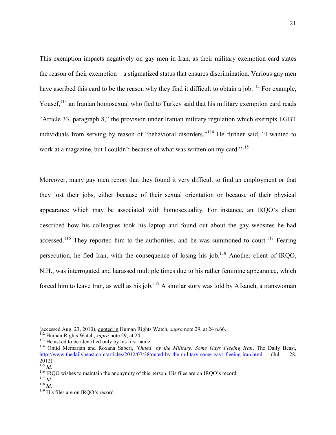This exemption impacts negatively on gay men in Iran, as their military exemption card states the reason of their exemption—a stigmatized status that ensures discrimination. Various gay men have ascribed this card to be the reason why they find it difficult to obtain a job.<sup>112</sup> For example, Yousef,<sup>113</sup> an Iranian homosexual who fled to Turkey said that his military exemption card reads "Article 33, paragraph 8," the provision under Iranian military regulation which exempts LGBT individuals from serving by reason of "behavioral disorders."<sup>114</sup> He further said, "I wanted to work at a magazine, but I couldn't because of what was written on my card."<sup>115</sup>

Moreover, many gay men report that they found it very difficult to find an employment or that they lost their jobs, either because of their sexual orientation or because of their physical appearance which may be associated with homosexuality. For instance, an IRQO's client described how his colleagues took his laptop and found out about the gay websites he had accessed.<sup>116</sup> They reported him to the authorities, and he was summoned to court.<sup>117</sup> Fearing persecution, he fled Iran, with the consequence of losing his job.<sup>118</sup> Another client of IRQO, N.H., was interrogated and harassed multiple times due to his rather feminine appearance, which forced him to leave Iran, as well as his job.<sup>119</sup> A similar story was told by Afsaneh, a transwoman

 $\overline{a}$ 

<sup>(</sup>accessed Aug. 23, 2010), <u>quoted in</u> Human Rights Watch, *supra* note 29, at 24 n.66.<br><sup>112</sup> Human Rights Watch, *supra* note 29, at 24.<br><sup>113</sup> He asked to be identified only by his first name.<br><sup>114</sup> Omid Memarian and Roxan <http://www.thedailybeast.com/articles/2012/07/28/outed-by-the-military-some-gays-fleeing-iran.html> (Jul. 28, 2012).<br><sup>115</sup> *Id.*<br><sup>116</sup> IRQO wishes to maintain the anonymity of this person. His files are on IRQO's record.<br><sup>118</sup> *Id.* <sup>119</sup> His files are on IRQO's record.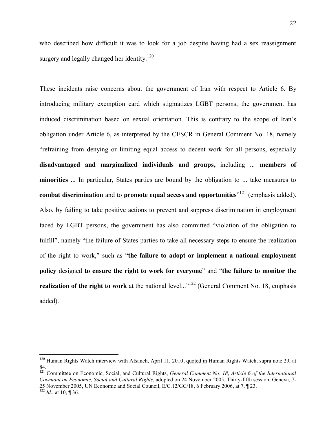who described how difficult it was to look for a job despite having had a sex reassignment surgery and legally changed her identity.<sup>120</sup>

These incidents raise concerns about the government of Iran with respect to Article 6. By introducing military exemption card which stigmatizes LGBT persons, the government has induced discrimination based on sexual orientation. This is contrary to the scope of Iran's obligation under Article 6, as interpreted by the CESCR in General Comment No. 18, namely "refraining from denying or limiting equal access to decent work for all persons, especially **disadvantaged and marginalized individuals and groups,** including ... **members of minorities** ... In particular, States parties are bound by the obligation to ... take measures to **combat discrimination** and to **promote equal access and opportunities**" <sup>121</sup> (emphasis added). Also, by failing to take positive actions to prevent and suppress discrimination in employment faced by LGBT persons, the government has also committed "violation of the obligation to fulfill", namely "the failure of States parties to take all necessary steps to ensure the realization of the right to work," such as "**the failure to adopt or implement a national employment policy** designed **to ensure the right to work for everyone**" and "**the failure to monitor the realization of the right to work** at the national level..."<sup>122</sup> (General Comment No. 18, emphasis added).

<sup>&</sup>lt;sup>120</sup> Human Rights Watch interview with Afsaneh, April 11, 2010, quoted in Human Rights Watch, supra note 29, at 84.

<sup>&</sup>lt;sup>121</sup> Committee on Economic, Social, and Cultural Rights, *General Comment No. 18*, Article 6 of the International *Covenant on Economic, Social and Cultural Rights*, adopted on 24 November 2005, Thirty-fifth session, Geneva, 7- 25 November 2005, UN Economic and Social Council, E/C.12/GC/18, 6 February 2006, at 7, ¶ 23. <sup>122</sup> *Id.*, at 10, ¶ 36.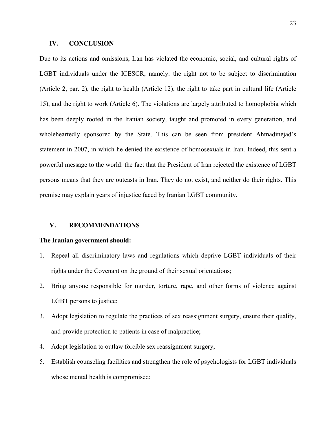#### **IV. CONCLUSION**

Due to its actions and omissions, Iran has violated the economic, social, and cultural rights of LGBT individuals under the ICESCR, namely: the right not to be subject to discrimination (Article 2, par. 2), the right to health (Article 12), the right to take part in cultural life (Article 15), and the right to work (Article 6). The violations are largely attributed to homophobia which has been deeply rooted in the Iranian society, taught and promoted in every generation, and wholeheartedly sponsored by the State. This can be seen from president Ahmadinejad's statement in 2007, in which he denied the existence of homosexuals in Iran. Indeed, this sent a powerful message to the world: the fact that the President of Iran rejected the existence of LGBT persons means that they are outcasts in Iran. They do not exist, and neither do their rights. This premise may explain years of injustice faced by Iranian LGBT community.

#### **V. RECOMMENDATIONS**

#### **The Iranian government should:**

- 1. Repeal all discriminatory laws and regulations which deprive LGBT individuals of their rights under the Covenant on the ground of their sexual orientations;
- 2. Bring anyone responsible for murder, torture, rape, and other forms of violence against LGBT persons to justice;
- 3. Adopt legislation to regulate the practices of sex reassignment surgery, ensure their quality, and provide protection to patients in case of malpractice;
- 4. Adopt legislation to outlaw forcible sex reassignment surgery;
- 5. Establish counseling facilities and strengthen the role of psychologists for LGBT individuals whose mental health is compromised;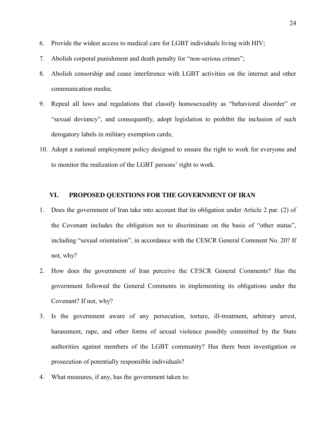- 6. Provide the widest access to medical care for LGBT individuals living with HIV;
- 7. Abolish corporal punishment and death penalty for "non-serious crimes";
- 8. Abolish censorship and cease interference with LGBT activities on the internet and other communication media;
- 9. Repeal all laws and regulations that classify homosexuality as "behavioral disorder" or "sexual deviancy", and consequently, adopt legislation to prohibit the inclusion of such derogatory labels in military exemption cards;
- 10. Adopt a national employment policy designed to ensure the right to work for everyone and to monitor the realization of the LGBT persons' right to work.

#### **VI. PROPOSED QUESTIONS FOR THE GOVERNMENT OF IRAN**

- 1. Does the government of Iran take into account that its obligation under Article 2 par. (2) of the Covenant includes the obligation not to discriminate on the basis of "other status", including "sexual orientation", in accordance with the CESCR General Comment No. 20? If not, why?
- 2. How does the government of Iran perceive the CESCR General Comments? Has the government followed the General Comments in implementing its obligations under the Covenant? If not, why?
- 3. Is the government aware of any persecution, torture, ill-treatment, arbitrary arrest, harassment, rape, and other forms of sexual violence possibly committed by the State authorities against members of the LGBT community? Has there been investigation or prosecution of potentially responsible individuals?
- 4. What measures, if any, has the government taken to: